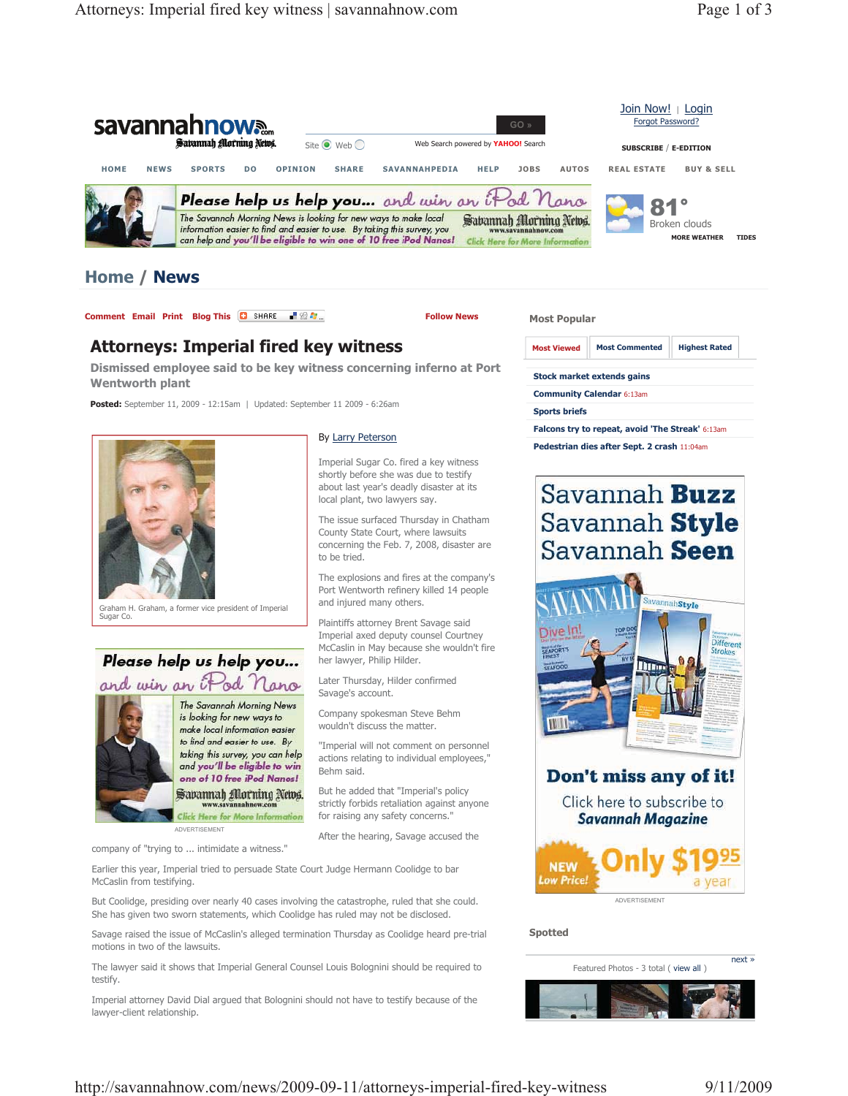

## **Home / News**

**Comment Email Print Blog This C** SHARE **R R R R R Email C C Exhibits** 

By Larry Peterson

to be tried.

and injured many others.

her lawyer, Philip Hilder. Later Thursday, Hilder confirmed

Savage's account.

Behm said.

Imperial Sugar Co. fired a key witness shortly before she was due to testify about last year's deadly disaster at its local plant, two lawyers say.

The issue surfaced Thursday in Chatham County State Court, where lawsuits concerning the Feb. 7, 2008, disaster are

The explosions and fires at the company's Port Wentworth refinery killed 14 people

Plaintiffs attorney Brent Savage said Imperial axed deputy counsel Courtney McCaslin in May because she wouldn't fire

Company spokesman Steve Behm wouldn't discuss the matter.

"Imperial will not comment on personnel actions relating to individual employees,"

But he added that "Imperial's policy strictly forbids retaliation against anyone for raising any safety concerns." After the hearing, Savage accused the

## **Attorneys: Imperial fired key witness**

**Dismissed employee said to be key witness concerning inferno at Port Wentworth plant** 

**Posted:** September 11, 2009 - 12:15am | Updated: September 11 2009 - 6:26am



Graham H. Graham, a former vice president of Imperial Sugar Co.

## Please help us help you... and win an iPod Nano



The Savannah Morning News is looking for new ways to make local information easier to find and easier to use. By taking this survey, you can help and you'll be eligible to win one of 10 free iPod Nanos! Sabannah Morning News.

Here for More Infor ADVERTISEMENT

company of "trying to ... intimidate a witness."

Earlier this year, Imperial tried to persuade State Court Judge Hermann Coolidge to bar McCaslin from testifying.

But Coolidge, presiding over nearly 40 cases involving the catastrophe, ruled that she could. She has given two sworn statements, which Coolidge has ruled may not be disclosed.

Savage raised the issue of McCaslin's alleged termination Thursday as Coolidge heard pre-trial motions in two of the lawsuits.

The lawyer said it shows that Imperial General Counsel Louis Bolognini should be required to testify.

Imperial attorney David Dial argued that Bolognini should not have to testify because of the lawyer-client relationship.

| <b>Most Viewed</b> | <b>Most Commented</b>             | <b>Highest Rated</b> |  |
|--------------------|-----------------------------------|----------------------|--|
|                    | <b>Stock market extends gains</b> |                      |  |

**Community Calendar** 6:13am

**Sports briefs**

**Most Popular** 

**Falcons try to repeat, avoid 'The Streak'** 6:13am

**Pedestrian dies after Sept. 2 crash** 11:04am





Click here to subscribe to **Savannah Magazine** 



ADVERTISEMENT

**Spotted** 

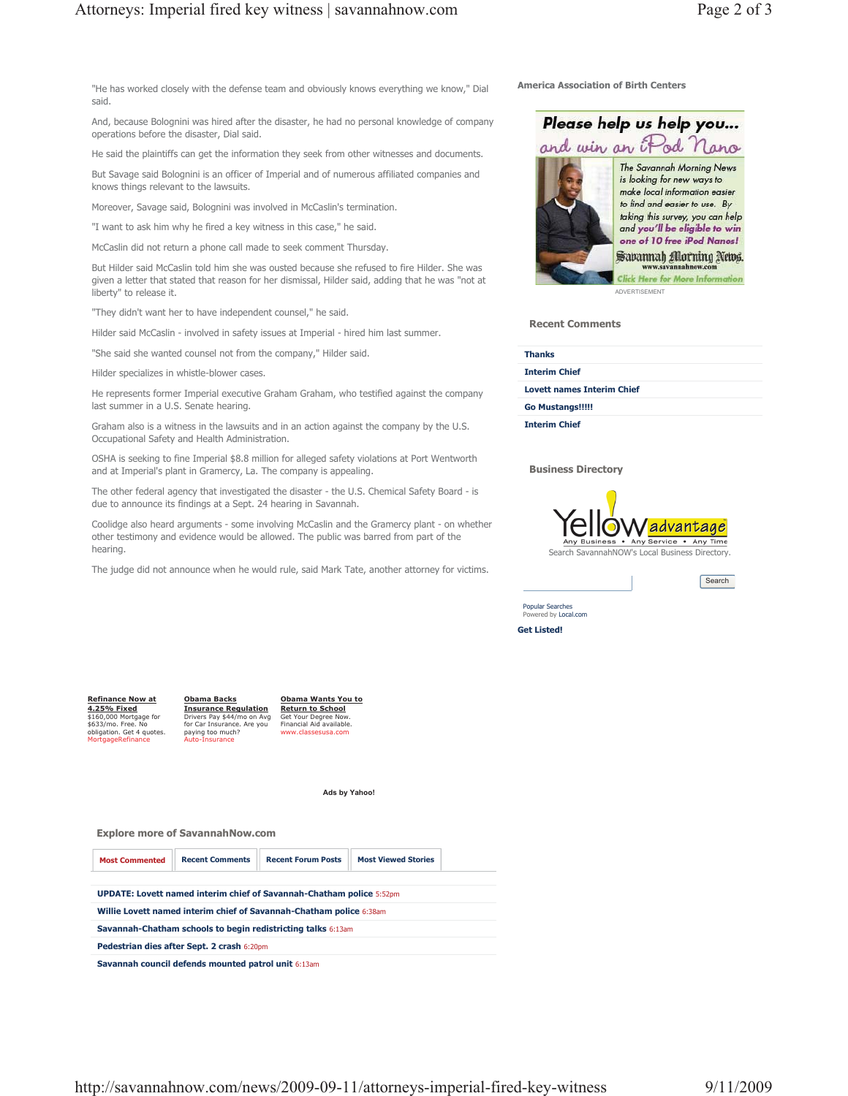"He has worked closely with the defense team and obviously knows everything we know," Dial said.

And, because Bolognini was hired after the disaster, he had no personal knowledge of company operations before the disaster, Dial said.

He said the plaintiffs can get the information they seek from other witnesses and documents.

But Savage said Bolognini is an officer of Imperial and of numerous affiliated companies and knows things relevant to the lawsuits.

Moreover, Savage said, Bolognini was involved in McCaslin's termination.

"I want to ask him why he fired a key witness in this case," he said.

McCaslin did not return a phone call made to seek comment Thursday.

But Hilder said McCaslin told him she was ousted because she refused to fire Hilder. She was given a letter that stated that reason for her dismissal, Hilder said, adding that he was "not at liberty" to release it.

"They didn't want her to have independent counsel," he said.

Hilder said McCaslin - involved in safety issues at Imperial - hired him last summer.

"She said she wanted counsel not from the company," Hilder said.

Hilder specializes in whistle-blower cases.

He represents former Imperial executive Graham Graham, who testified against the company last summer in a U.S. Senate hearing.

Graham also is a witness in the lawsuits and in an action against the company by the U.S. Occupational Safety and Health Administration.

OSHA is seeking to fine Imperial \$8.8 million for alleged safety violations at Port Wentworth and at Imperial's plant in Gramercy, La. The company is appealing.

The other federal agency that investigated the disaster - the U.S. Chemical Safety Board - is due to announce its findings at a Sept. 24 hearing in Savannah.

Coolidge also heard arguments - some involving McCaslin and the Gramercy plant - on whether other testimony and evidence would be allowed. The public was barred from part of the hearing.

The judge did not announce when he would rule, said Mark Tate, another attorney for victims.

## **America Association of Birth Centers**



**Recent Comments** 

| <b>Thanks</b>                     |  |
|-----------------------------------|--|
| <b>Interim Chief</b>              |  |
| <b>Lovett names Interim Chief</b> |  |
| <b>Go Mustangs!!!!!</b>           |  |
| <b>Interim Chief</b>              |  |

**Business Directory** 



**Search** 

**Get Listed!** Popular Searches ered by Local.com

**Refinance Now at 4.25% Fixed** \$160,000 Mortgage for \$633/mo. Free. No obligation. Get 4 quotes. MortgageRefinance **Obama Backs Insurance Regulation** Drivers Pay \$44/mo on Avg for Car Insurance. Are you paying too much? Auto-Insurance

**Obama Wants You to Return to School** Get Your Degree Now. Financial Aid available. www.classesusa.com

**Ads by Yahoo!**

**Explore more of SavannahNow.com** 



**Savannah council defends mounted patrol unit** 6:13am